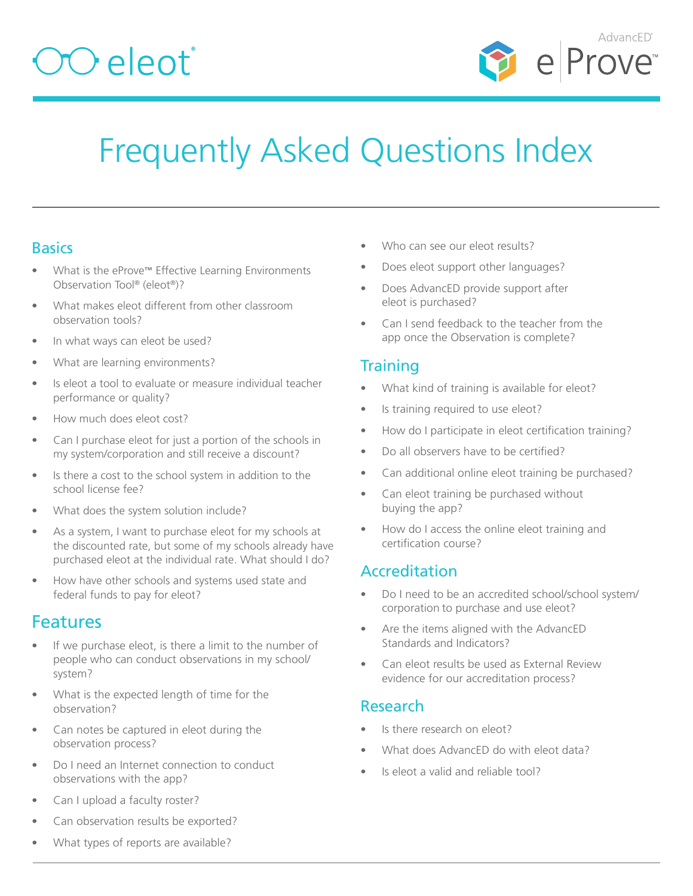## $OO$ eleot $^{\circ}$



## Frequently Asked Questions Index

## **Basics**

- What is the eProve™ Effective Learning Environments Observation Tool® (eleot®)?
- [What makes eleot different from other classroom](#page-1-0)  [observation tools?](#page-1-0)
- [In what ways can eleot be used?](#page-1-1)
- [What are learning environments?](#page-2-0)
- [Is eleot a tool to evaluate or measure individual teacher](#page-2-1)  [performance or quality?](#page-2-1)
- [How much does eleot cost?](#page-2-2)
- [Can I purchase eleot for just a portion of the schools in](#page-2-3)  [my system/corporation and still receive a discount?](#page-2-3)
- [Is there a cost to the school system in addition to the](#page-2-4)  [school license fee?](#page-2-4)
- [What does the system solution include?](#page-2-5)
- [As a system, I want to purchase eleot for my schools at](#page-1-2)  [the discounted rate, but some of my schools already have](#page-1-2)  [purchased eleot at the individual rate. What should I do?](#page-1-2)
- [How have other schools and systems used state and](#page-2-6)  [federal funds to pay for eleot?](#page-2-6)

## Features

- If we purchase eleot, is there a limit to the number of [people who can conduct observations in my school/](#page-3-0) [system?](#page-3-0)
- [What is the expected length of time for the](#page-3-1)  [observation?](#page-3-1)
- [Can notes be captured in eleot during the](#page-3-2)  [observation process?](#page-3-2)
- Do I need an Internet connection to conduct observations with the app?
- [Can I upload a faculty roster?](#page-3-3)
- [Can observation results be exported?](#page-3-4)
- [What types of reports are available?](#page-3-5)
- [Who can see our eleot results?](#page-3-6)
- [Does eleot support other languages?](#page-3-7)
- [Does AdvancED provide support after](#page-3-8)  [eleot is purchased](#page-3-8)?
- Can I send feedback to the teacher from the [app once the Observation is complete?](#page-3-9)

## **Training**

- [What kind of training is available for eleot?](#page-4-0)
- [Is training required to use eleot?](#page-4-1)
- [How do I participate in eleot certification training?](#page-4-2)
- [Do all observers have to be certified?](#page-4-3)
- Can additional online eleot training be purchased?
- [Can eleot training be purchased without](#page-4-4)  [buying the app?](#page-4-4)
- How do I access the online eleot training and certification course?

## Accreditation

- [Do I need to be an accredited school/school system/](#page-5-0) corporation [to purchase and use eleot?](#page-5-0)
- [Are the items aligned with the AdvancED](#page-5-1)  [Standards and Indicators?](#page-5-1)
- [Can eleot results be used as External Review](#page-5-2)  [evidence for our accreditation process?](#page-5-2)

#### Research

- [Is there research on eleot?](#page-5-3)
- [What does AdvancED do with eleot data?](#page-5-4)
- [Is eleot a valid and reliable tool?](#page-5-5)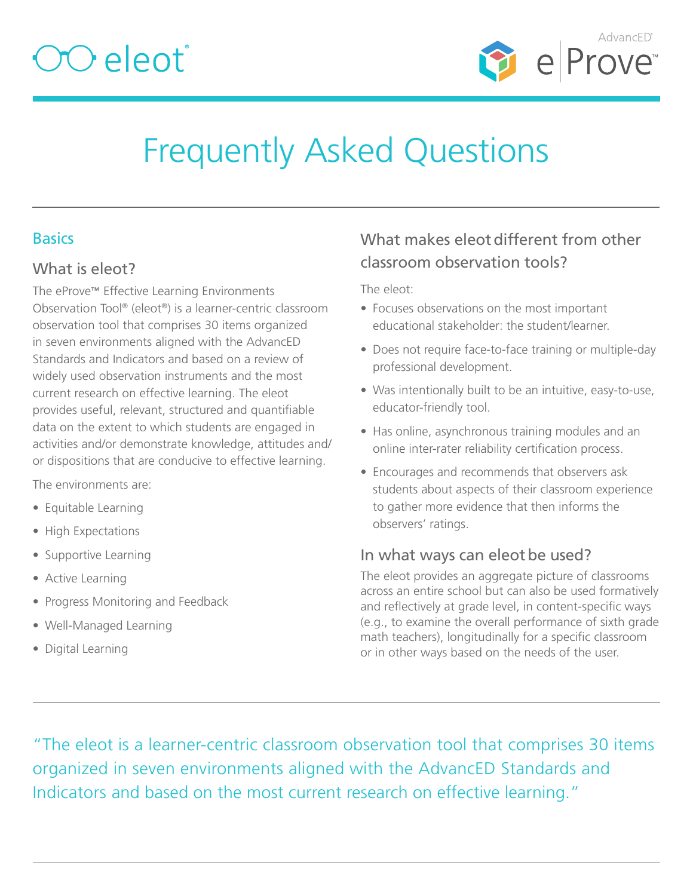

## Frequently Asked Questions

## <span id="page-1-2"></span>**Basics**

#### What is eleot?

The eProve™ Effective Learning Environments Observation Tool® (eleot®) is a learner-centric classroom observation tool that comprises 30 items organized in seven environments aligned with the AdvancED Standards and Indicators and based on a review of widely used observation instruments and the most current research on effective learning. The eleot provides useful, relevant, structured and quantifiable data on the extent to which students are engaged in activities and/or demonstrate knowledge, attitudes and/ or dispositions that are conducive to effective learning.

The environments are:

- Equitable Learning
- High Expectations
- Supportive Learning
- Active Learning
- Progress Monitoring and Feedback
- Well-Managed Learning
- Digital Learning

## <span id="page-1-0"></span>What makes eleot different from other classroom observation tools?

The eleot:

- Focuses observations on the most important educational stakeholder: the student/learner.
- Does not require face-to-face training or multiple-day professional development.
- Was intentionally built to be an intuitive, easy-to-use, educator-friendly tool.
- Has online, asynchronous training modules and an online inter-rater reliability certification process.
- Encourages and recommends that observers ask students about aspects of their classroom experience to gather more evidence that then informs the observers' ratings.

## <span id="page-1-1"></span>In what ways can eleot be used?

The eleot provides an aggregate picture of classrooms across an entire school but can also be used formatively and reflectively at grade level, in content-specific ways (e.g., to examine the overall performance of sixth grade math teachers), longitudinally for a specific classroom or in other ways based on the needs of the user.

"The eleot is a learner-centric classroom observation tool that comprises 30 items organized in seven environments aligned with the AdvancED Standards and Indicators and based on the most current research on effective learning."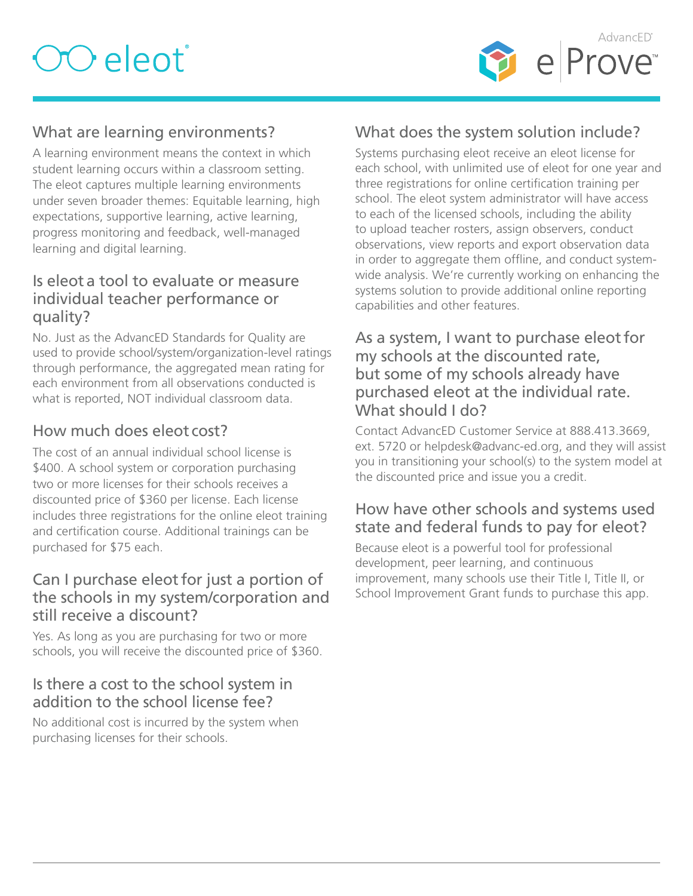

## <span id="page-2-0"></span>What are learning environments?

A learning environment means the context in which student learning occurs within a classroom setting. The eleot captures multiple learning environments under seven broader themes: Equitable learning, high expectations, supportive learning, active learning, progress monitoring and feedback, well-managed learning and digital learning.

#### <span id="page-2-1"></span>Is eleot a tool to evaluate or measure individual teacher performance or quality?

No. Just as the AdvancED Standards for Quality are used to provide school/system/organization-level ratings through performance, the aggregated mean rating for each environment from all observations conducted is what is reported, NOT individual classroom data.

## <span id="page-2-2"></span>How much does eleot cost?

The cost of an annual individual school license is \$400. A school system or corporation purchasing two or more licenses for their schools receives a discounted price of \$360 per license. Each license includes three registrations for the online eleot training and certification course. Additional trainings can be purchased for \$75 each.

#### <span id="page-2-3"></span>Can I purchase eleotfor just a portion of the schools in my system/corporation and still receive a discount?

Yes. As long as you are purchasing for two or more schools, you will receive the discounted price of \$360.

#### <span id="page-2-4"></span>Is there a cost to the school system in addition to the school license fee?

No additional cost is incurred by the system when purchasing licenses for their schools.

## <span id="page-2-5"></span>What does the system solution include?

Systems purchasing eleot receive an eleot license for each school, with unlimited use of eleot for one year and three registrations for online certification training per school. The eleot system administrator will have access to each of the licensed schools, including the ability to upload teacher rosters, assign observers, conduct observations, view reports and export observation data in order to aggregate them offline, and conduct systemwide analysis. We're currently working on enhancing the systems solution to provide additional online reporting capabilities and other features.

#### As a system, I want to purchase eleot for my schools at the discounted rate, but some of my schools already have purchased eleot at the individual rate. What should I do?

Contact AdvancED Customer Service at 888.413.3669, ext. 5720 or helpdesk@advanc-ed.org, and they will assist you in transitioning your school(s) to the system model at the discounted price and issue you a credit.

## <span id="page-2-6"></span>How have other schools and systems used state and federal funds to pay for eleot?

Because eleot is a powerful tool for professional development, peer learning, and continuous improvement, many schools use their Title I, Title II, or School Improvement Grant funds to purchase this app.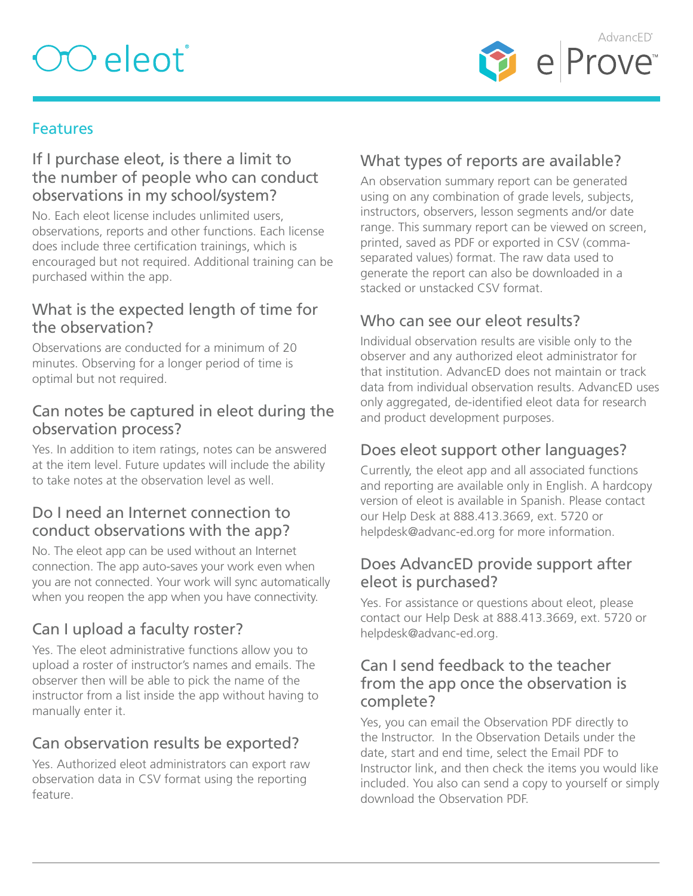## OO eleot<sup>®</sup>



## **Features**

#### <span id="page-3-0"></span>If I purchase eleot, is there a limit to the number of people who can conduct observations in my school/system?

No. Each eleot license includes unlimited users, observations, reports and other functions. Each license does include three certification trainings, which is encouraged but not required. Additional training can be purchased within the app.

## <span id="page-3-1"></span>What is the expected length of time for the observation?

Observations are conducted for a minimum of 20 minutes. Observing for a longer period of time is optimal but not required.

#### <span id="page-3-2"></span>Can notes be captured in eleot during the observation process?

Yes. In addition to item ratings, notes can be answered at the item level. Future updates will include the ability to take notes at the observation level as well.

#### Do I need an Internet connection to conduct observations with the app?

No. The eleot app can be used without an Internet connection. The app auto-saves your work even when you are not connected. Your work will sync automatically when you reopen the app when you have connectivity.

## <span id="page-3-3"></span>Can I upload a faculty roster?

Yes. The eleot administrative functions allow you to upload a roster of instructor's names and emails. The observer then will be able to pick the name of the instructor from a list inside the app without having to manually enter it.

## <span id="page-3-4"></span>Can observation results be exported?

Yes. Authorized eleot administrators can export raw observation data in CSV format using the reporting feature.

## <span id="page-3-5"></span>What types of reports are available?

An observation summary report can be generated using on any combination of grade levels, subjects, instructors, observers, lesson segments and/or date range. This summary report can be viewed on screen, printed, saved as PDF or exported in CSV (commaseparated values) format. The raw data used to generate the report can also be downloaded in a stacked or unstacked CSV format.

## <span id="page-3-6"></span>Who can see our eleot results?

Individual observation results are visible only to the observer and any authorized eleot administrator for that institution. AdvancED does not maintain or track data from individual observation results. AdvancED uses only aggregated, de-identified eleot data for research and product development purposes.

### <span id="page-3-7"></span>Does eleot support other languages?

Currently, the eleot app and all associated functions and reporting are available only in English. A hardcopy version of eleot is available in Spanish. Please contact our Help Desk at 888.413.3669, ext. 5720 or helpdesk@advanc-ed.org for more information.

#### <span id="page-3-8"></span>Does AdvancED provide support after eleot is purchased?

Yes. For assistance or questions about eleot, please contact our Help Desk at 888.413.3669, ext. 5720 or helpdesk@advanc-ed.org.

#### <span id="page-3-9"></span>Can I send feedback to the teacher from the app once the observation is complete?

Yes, you can email the Observation PDF directly to the Instructor. In the Observation Details under the date, start and end time, select the Email PDF to Instructor link, and then check the items you would like included. You also can send a copy to yourself or simply download the Observation PDF.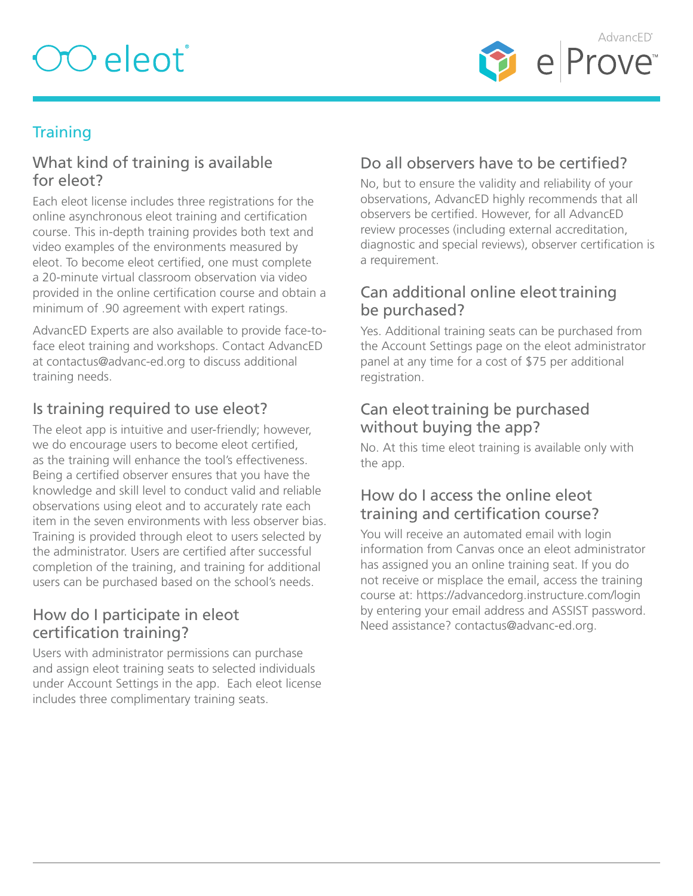# OO eleot<sup>®</sup>



## **Training**

#### <span id="page-4-0"></span>What kind of training is available for eleot?

Each eleot license includes three registrations for the online asynchronous eleot training and certification course. This in-depth training provides both text and video examples of the environments measured by eleot. To become eleot certified, one must complete a 20-minute virtual classroom observation via video provided in the online certification course and obtain a minimum of .90 agreement with expert ratings.

AdvancED Experts are also available to provide face-toface eleot training and workshops. Contact AdvancED at contactus@advanc-ed.org to discuss additional training needs.

## <span id="page-4-1"></span>Is training required to use eleot?

The eleot app is intuitive and user-friendly; however, we do encourage users to become eleot certified, as the training will enhance the tool's effectiveness. Being a certified observer ensures that you have the knowledge and skill level to conduct valid and reliable observations using eleot and to accurately rate each item in the seven environments with less observer bias. Training is provided through eleot to users selected by the administrator. Users are certified after successful completion of the training, and training for additional users can be purchased based on the school's needs.

#### <span id="page-4-2"></span>How do I participate in eleot certification training?

Users with administrator permissions can purchase and assign eleot training seats to selected individuals under Account Settings in the app. Each eleot license includes three complimentary training seats.

## <span id="page-4-3"></span>Do all observers have to be certified?

No, but to ensure the validity and reliability of your observations, AdvancED highly recommends that all observers be certified. However, for all AdvancED review processes (including external accreditation, diagnostic and special reviews), observer certification is a requirement.

#### Can additional online eleot training be purchased?

Yes. Additional training seats can be purchased from the Account Settings page on the eleot administrator panel at any time for a cost of \$75 per additional registration.

#### <span id="page-4-4"></span>Can eleot training be purchased without buying the app?

No. At this time eleot training is available only with the app.

## How do I access the online eleot training and certification course?

You will receive an automated email with login information from Canvas once an eleot administrator has assigned you an online training seat. If you do not receive or misplace the email, access the training course at: https://advancedorg.instructure.com/login by entering your email address and ASSIST password. Need assistance? contactus@advanc-ed.org.